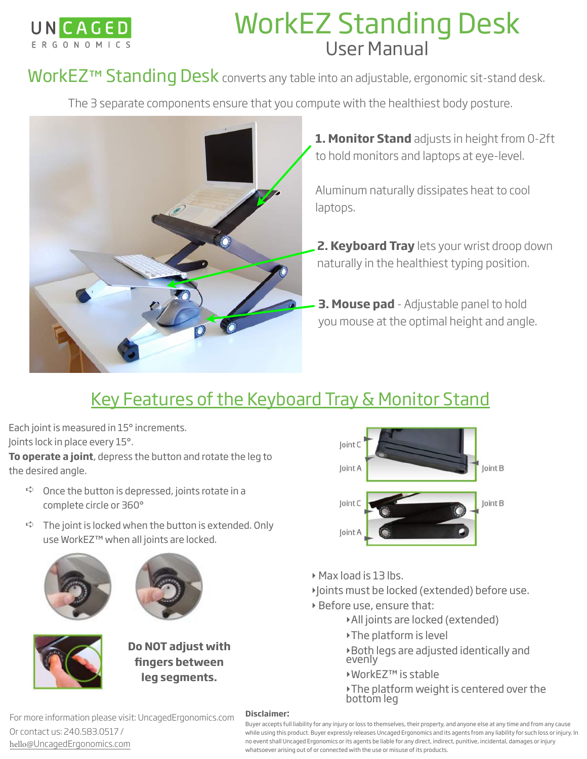

# WorkEZ Standing Desk User Manual

WorkEZ™ Standing Desk converts any table into an adjustable, ergonomic sit-stand desk.

The 3 separate components ensure that you compute with the healthiest body posture.



**1. Monitor Stand** adjusts in height from 0-2ft to hold monitors and laptops at eye-level.

Aluminum naturally dissipates heat to cool laptops.

**2. Keyboard Tray** lets your wrist droop down naturally in the healthiest typing position.

**3. Mouse pad** - Adjustable panel to hold you mouse at the optimal height and angle.

## Key Features of the Keyboard Tray & Monitor Stand

Each joint is measured in 15° increments. Joints lock in place every 15°.

**To operate a joint**, depress the button and rotate the leg to the desired angle.

- $\Rightarrow$  Once the button is depressed, joints rotate in a complete circle or 360°
- $\Rightarrow$  The joint is locked when the button is extended. Only use WorkEZ™ when all joints are locked.







**Do NOT adjust with fingers between leg segments.**



- ‣ Max load is 13 lbs.
- ‣Joints must be locked (extended) before use.
- ‣ Before use, ensure that:
	- ‣All joints are locked (extended)
	- ‣The platform is level
	- ‣Both legs are adjusted identically and evenly
	- ‣WorkEZ™ is stable
	- ‣The platform weight is centered over the bottom leg

#### **Disclaimer:**

For more information please visit: UncagedErgonomics.com Or contact us: 240.583.0517 / hello[@UncagedErgonomics.com](mailto:info@uncagedErgonomics.com)

Buyer accepts full liability for any injury or loss to themselves, their property, and anyone else at any time and from any cause while using this product. Buyer expressly releases Uncaged Ergonomics and its agents from any liability for such loss or injury. In no event shall Uncaged Ergonomics or its agents be liable for any direct, indirect, punitive, incidental, damages or injury whatsoever arising out of or connected with the use or misuse of its products.